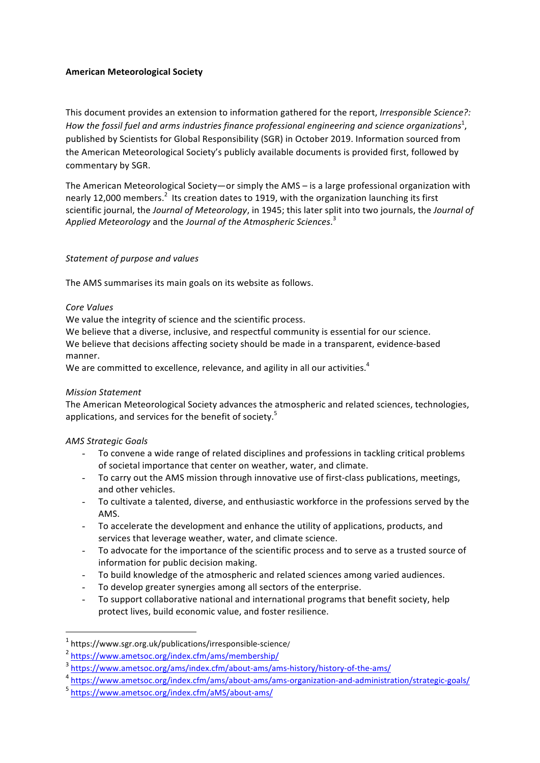## **American Meteorological Society**

This document provides an extension to information gathered for the report, *Irresponsible Science?:* How the fossil fuel and arms industries finance professional engineering and science organizations $^{\rm 1}$ , published by Scientists for Global Responsibility (SGR) in October 2019. Information sourced from the American Meteorological Society's publicly available documents is provided first, followed by commentary by SGR.

The American Meteorological Society—or simply the AMS – is a large professional organization with nearly 12,000 members.<sup>2</sup> Its creation dates to 1919, with the organization launching its first scientific journal, the *Journal of Meteorology*, in 1945; this later split into two journals, the *Journal of* Applied Meteorology and the Journal of the Atmospheric Sciences.<sup>3</sup>

### *Statement of purpose and values*

The AMS summarises its main goals on its website as follows.

### *Core Values*

We value the integrity of science and the scientific process.

We believe that a diverse, inclusive, and respectful community is essential for our science.

We believe that decisions affecting society should be made in a transparent, evidence-based manner.

We are committed to excellence, relevance, and agility in all our activities. $^4$ 

# *Mission Statement*

The American Meteorological Society advances the atmospheric and related sciences, technologies, applications, and services for the benefit of society.<sup>5</sup>

# *AMS Strategic Goals*

- To convene a wide range of related disciplines and professions in tackling critical problems of societal importance that center on weather, water, and climate.
- To carry out the AMS mission through innovative use of first-class publications, meetings, and other vehicles.
- To cultivate a talented, diverse, and enthusiastic workforce in the professions served by the AMS.
- To accelerate the development and enhance the utility of applications, products, and services that leverage weather, water, and climate science.
- To advocate for the importance of the scientific process and to serve as a trusted source of information for public decision making.
- To build knowledge of the atmospheric and related sciences among varied audiences.
- To develop greater synergies among all sectors of the enterprise.
- To support collaborative national and international programs that benefit society, help protect lives, build economic value, and foster resilience.

 

 $1$  https://www.sgr.org.uk/publications/irresponsible-science/

<sup>&</sup>lt;sup>2</sup> https://www.ametsoc.org/index.cfm/ams/membership/

<sup>3</sup> https://www.ametsoc.org/ams/index.cfm/about-ams/ams-history/history-of-the-ams/

<sup>4</sup> https://www.ametsoc.org/index.cfm/ams/about-ams/ams-organization-and-administration/strategic-goals/

<sup>5</sup> https://www.ametsoc.org/index.cfm/aMS/about-ams/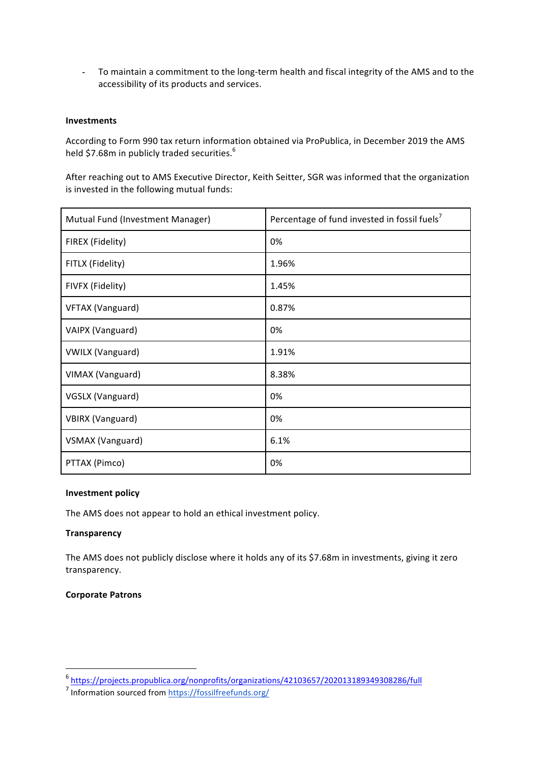- To maintain a commitment to the long-term health and fiscal integrity of the AMS and to the accessibility of its products and services.

### **Investments**

According to Form 990 tax return information obtained via ProPublica, in December 2019 the AMS held \$7.68m in publicly traded securities.<sup>6</sup>

After reaching out to AMS Executive Director, Keith Seitter, SGR was informed that the organization is invested in the following mutual funds:

| Mutual Fund (Investment Manager) | Percentage of fund invested in fossil fuels <sup>7</sup> |
|----------------------------------|----------------------------------------------------------|
| FIREX (Fidelity)                 | 0%                                                       |
| FITLX (Fidelity)                 | 1.96%                                                    |
| FIVFX (Fidelity)                 | 1.45%                                                    |
| VFTAX (Vanguard)                 | 0.87%                                                    |
| VAIPX (Vanguard)                 | 0%                                                       |
| <b>VWILX (Vanguard)</b>          | 1.91%                                                    |
| VIMAX (Vanguard)                 | 8.38%                                                    |
| VGSLX (Vanguard)                 | 0%                                                       |
| <b>VBIRX (Vanguard)</b>          | 0%                                                       |
| VSMAX (Vanguard)                 | 6.1%                                                     |
| PTTAX (Pimco)                    | 0%                                                       |

### **Investment policy**

The AMS does not appear to hold an ethical investment policy.

#### **Transparency**

The AMS does not publicly disclose where it holds any of its \$7.68m in investments, giving it zero transparency. 

#### **Corporate Patrons**

 

<sup>6</sup> https://projects.propublica.org/nonprofits/organizations/42103657/202013189349308286/full

<sup>7</sup> Information sourced from https://fossilfreefunds.org/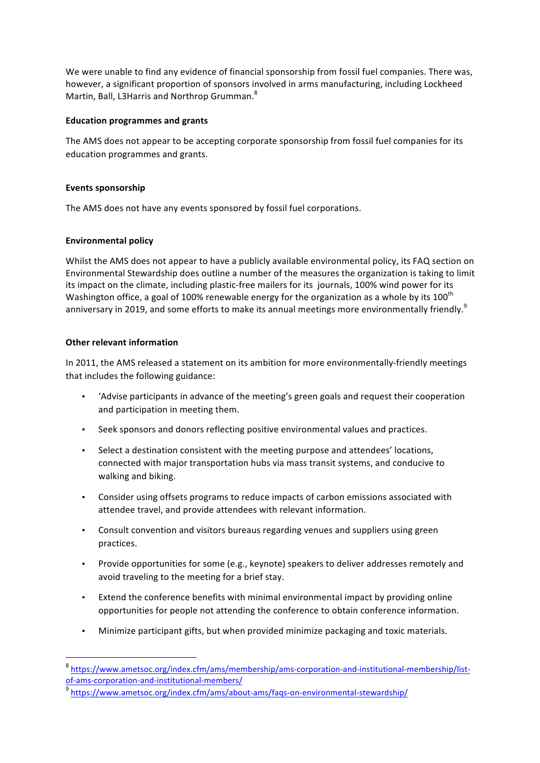We were unable to find any evidence of financial sponsorship from fossil fuel companies. There was, however, a significant proportion of sponsors involved in arms manufacturing, including Lockheed Martin, Ball, L3Harris and Northrop Grumman.<sup>8</sup>

### **Education programmes and grants**

The AMS does not appear to be accepting corporate sponsorship from fossil fuel companies for its education programmes and grants.

## Events sponsorship

The AMS does not have any events sponsored by fossil fuel corporations.

## **Environmental policy**

Whilst the AMS does not appear to have a publicly available environmental policy, its FAQ section on Environmental Stewardship does outline a number of the measures the organization is taking to limit its impact on the climate, including plastic-free mailers for its journals, 100% wind power for its Washington office, a goal of 100% renewable energy for the organization as a whole by its 100<sup>th</sup> anniversary in 2019, and some efforts to make its annual meetings more environmentally friendly.<sup>9</sup>

## **Other relevant information**

 

In 2011, the AMS released a statement on its ambition for more environmentally-friendly meetings that includes the following guidance:

- 'Advise participants in advance of the meeting's green goals and request their cooperation and participation in meeting them.
- **•** Seek sponsors and donors reflecting positive environmental values and practices.
- Select a destination consistent with the meeting purpose and attendees' locations, connected with major transportation hubs via mass transit systems, and conducive to walking and biking.
- Consider using offsets programs to reduce impacts of carbon emissions associated with attendee travel, and provide attendees with relevant information.
- **•** Consult convention and visitors bureaus regarding venues and suppliers using green practices.
- Provide opportunities for some (e.g., keynote) speakers to deliver addresses remotely and avoid traveling to the meeting for a brief stay.
- Extend the conference benefits with minimal environmental impact by providing online opportunities for people not attending the conference to obtain conference information.
- Minimize participant gifts, but when provided minimize packaging and toxic materials.

<sup>8</sup> https://www.ametsoc.org/index.cfm/ams/membership/ams-corporation-and-institutional-membership/listof-ams-corporation-and-institutional-members/

<sup>9</sup> https://www.ametsoc.org/index.cfm/ams/about-ams/faqs-on-environmental-stewardship/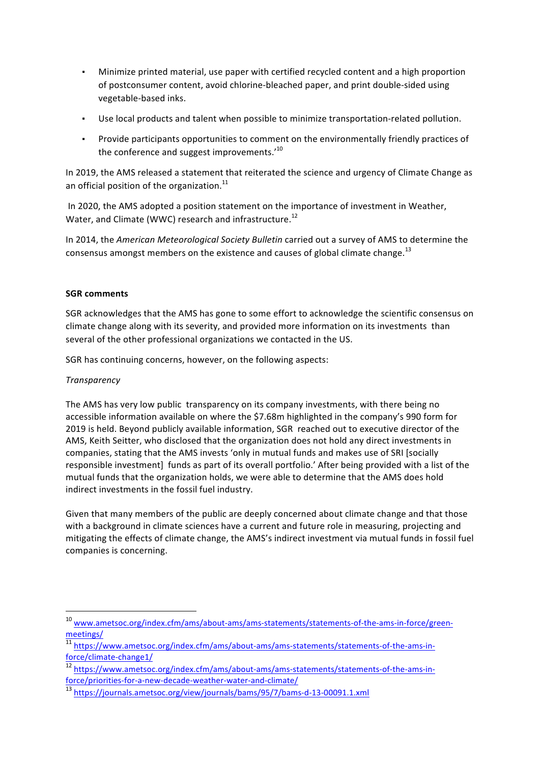- Minimize printed material, use paper with certified recycled content and a high proportion of postconsumer content, avoid chlorine-bleached paper, and print double-sided using vegetable-based inks.
- **•** Use local products and talent when possible to minimize transportation-related pollution.
- Provide participants opportunities to comment on the environmentally friendly practices of the conference and suggest improvements. $1^{10}$

In 2019, the AMS released a statement that reiterated the science and urgency of Climate Change as an official position of the organization. $^{11}$ 

In 2020, the AMS adopted a position statement on the importance of investment in Weather, Water, and Climate (WWC) research and infrastructure.<sup>12</sup>

In 2014, the *American Meteorological Society Bulletin* carried out a survey of AMS to determine the consensus amongst members on the existence and causes of global climate change.<sup>13</sup>

# **SGR** comments

SGR acknowledges that the AMS has gone to some effort to acknowledge the scientific consensus on climate change along with its severity, and provided more information on its investments than several of the other professional organizations we contacted in the US.

SGR has continuing concerns, however, on the following aspects:

## *Transparency*

 

The AMS has very low public transparency on its company investments, with there being no accessible information available on where the \$7.68m highlighted in the company's 990 form for 2019 is held. Beyond publicly available information, SGR reached out to executive director of the AMS, Keith Seitter, who disclosed that the organization does not hold any direct investments in companies, stating that the AMS invests 'only in mutual funds and makes use of SRI [socially responsible investment] funds as part of its overall portfolio.' After being provided with a list of the mutual funds that the organization holds, we were able to determine that the AMS does hold indirect investments in the fossil fuel industry.

Given that many members of the public are deeply concerned about climate change and that those with a background in climate sciences have a current and future role in measuring, projecting and mitigating the effects of climate change, the AMS's indirect investment via mutual funds in fossil fuel companies is concerning.

<sup>10</sup> www.ametsoc.org/index.cfm/ams/about-ams/ams-statements/statements-of-the-ams-in-force/greenmeetings/

 $\frac{11}{11}$  https://www.ametsoc.org/index.cfm/ams/about-ams/ams-statements/statements-of-the-ams-inforce/climate-change1/

<sup>&</sup>lt;sup>12</sup> https://www.ametsoc.org/index.cfm/ams/about-ams/ams-statements/statements-of-the-ams-inforce/priorities-for-a-new-decade-weather-water-and-climate/

<sup>13</sup> https://journals.ametsoc.org/view/journals/bams/95/7/bams-d-13-00091.1.xml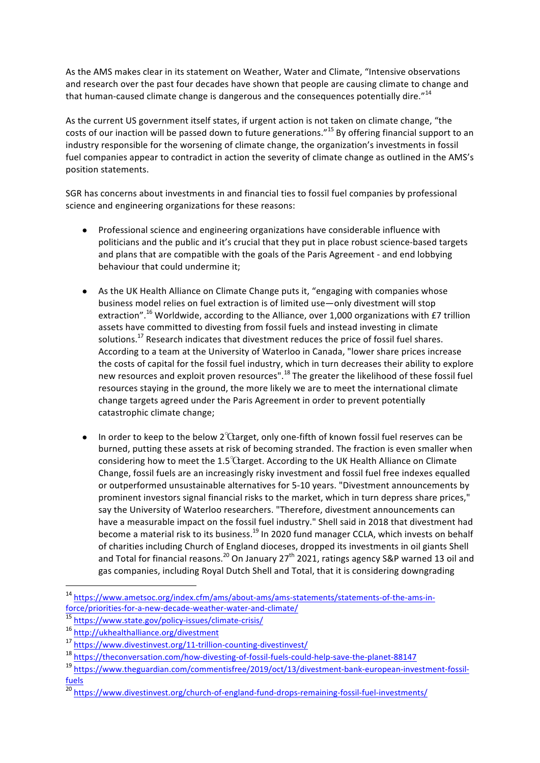As the AMS makes clear in its statement on Weather, Water and Climate, "Intensive observations and research over the past four decades have shown that people are causing climate to change and that human-caused climate change is dangerous and the consequences potentially dire." $14$ 

As the current US government itself states, if urgent action is not taken on climate change, "the costs of our inaction will be passed down to future generations."<sup>15</sup> By offering financial support to an industry responsible for the worsening of climate change, the organization's investments in fossil fuel companies appear to contradict in action the severity of climate change as outlined in the AMS's position statements.

SGR has concerns about investments in and financial ties to fossil fuel companies by professional science and engineering organizations for these reasons:

- Professional science and engineering organizations have considerable influence with politicians and the public and it's crucial that they put in place robust science-based targets and plans that are compatible with the goals of the Paris Agreement - and end lobbying behaviour that could undermine it;
- As the UK Health Alliance on Climate Change puts it, "engaging with companies whose business model relies on fuel extraction is of limited use—only divestment will stop extraction".<sup>16</sup> Worldwide, according to the Alliance, over 1,000 organizations with £7 trillion assets have committed to divesting from fossil fuels and instead investing in climate solutions.<sup>17</sup> Research indicates that divestment reduces the price of fossil fuel shares. According to a team at the University of Waterloo in Canada, "lower share prices increase the costs of capital for the fossil fuel industry, which in turn decreases their ability to explore new resources and exploit proven resources".<sup>18</sup> The greater the likelihood of these fossil fuel resources staying in the ground, the more likely we are to meet the international climate change targets agreed under the Paris Agreement in order to prevent potentially catastrophic climate change;
- In order to keep to the below  $2^{\circ}$  Ctarget, only one-fifth of known fossil fuel reserves can be burned, putting these assets at risk of becoming stranded. The fraction is even smaller when considering how to meet the  $1.5^{\circ}$ Carget. According to the UK Health Alliance on Climate Change, fossil fuels are an increasingly risky investment and fossil fuel free indexes equalled or outperformed unsustainable alternatives for 5-10 years. "Divestment announcements by prominent investors signal financial risks to the market, which in turn depress share prices," say the University of Waterloo researchers. "Therefore, divestment announcements can have a measurable impact on the fossil fuel industry." Shell said in 2018 that divestment had become a material risk to its business.<sup>19</sup> In 2020 fund manager CCLA, which invests on behalf of charities including Church of England dioceses, dropped its investments in oil giants Shell and Total for financial reasons.<sup>20</sup> On January 27<sup>th</sup> 2021, ratings agency S&P warned 13 oil and gas companies, including Royal Dutch Shell and Total, that it is considering downgrading

 

<sup>14</sup> https://www.ametsoc.org/index.cfm/ams/about-ams/ams-statements/statements-of-the-ams-inforce/priorities-for-a-new-decade-weather-water-and-climate/

<sup>15</sup> https://www.state.gov/policy-issues/climate-crisis/

<sup>16</sup> http://ukhealthalliance.org/divestment

<sup>17</sup> https://www.divestinvest.org/11-trillion-counting-divestinvest/

<sup>18</sup> https://theconversation.com/how-divesting-of-fossil-fuels-could-help-save-the-planet-88147

<sup>19</sup> https://www.theguardian.com/commentisfree/2019/oct/13/divestment-bank-european-investment-fossilfuels

<sup>&</sup>lt;sup>20</sup> https://www.divestinvest.org/church-of-england-fund-drops-remaining-fossil-fuel-investments/